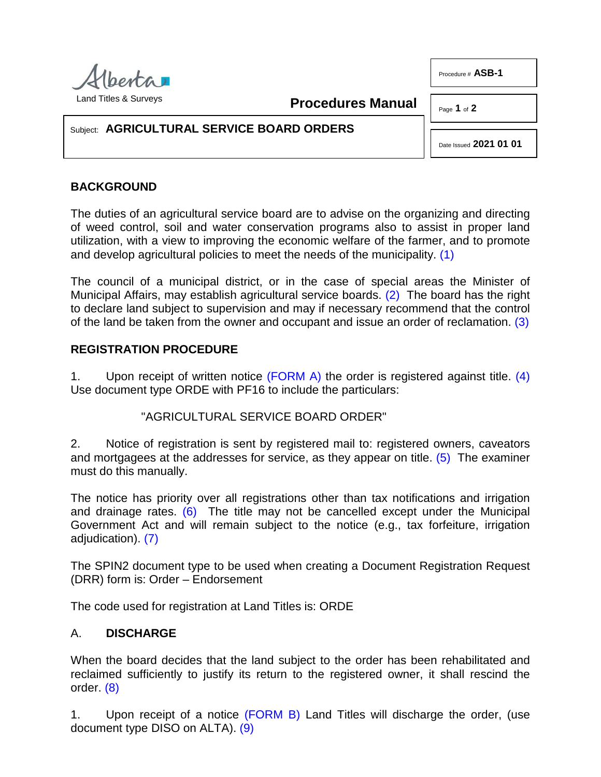

Procedure # **ASB-1**

Land Titles & Surveys

**Procedures Manual**

Page **1** of **2**

#### Subject: **AGRICULTURAL SERVICE BOARD ORDERS**

<span id="page-0-3"></span><span id="page-0-2"></span><span id="page-0-1"></span><span id="page-0-0"></span>Date Issued **2021 01 01**

# **BACKGROUND**

The duties of an agricultural service board are to advise on the organizing and directing of weed control, soil and water conservation programs also to assist in proper land utilization, with a view to improving the economic welfare of the farmer, and to promote and develop agricultural policies to meet the needs of the municipality. [\(1\)](#page-1-0)

The council of a municipal district, or in the case of special areas the Minister of Municipal Affairs, may establish agricultural service boards. [\(2\)](#page-1-1) The board has the right to declare land subject to supervision and may if necessary recommend that the control of the land be taken from the owner and occupant and issue an order of reclamation. [\(3\)](#page-1-2)

### **REGISTRATION PROCEDURE**

1. Upon receipt of written notice [\(FORM A\)](http://www.servicealberta.ca/pdf/ltmanual/ASB-1-FORMA.pdf) the order is registered against title. (4) Use document type ORDE with PF16 to include the particulars:

## <span id="page-0-5"></span><span id="page-0-4"></span>"AGRICULTURAL SERVICE BOARD ORDER"

2. Notice of registration is sent by registered mail to: registered owners, caveators and mortgagees at the addresses for service, as they appear on title. [\(5\)](#page-1-4) The examiner must do this manually.

The notice has priority over all registrations other than tax notifications and irrigation and drainage rates.  $(6)$  The title may not be cancelled except under the Municipal Government Act and will remain subject to the notice (e.g., tax forfeiture, irrigation adjudication). [\(7\)](#page-1-6)

<span id="page-0-6"></span>The SPIN2 document type to be used when creating a Document Registration Request (DRR) form is: Order – Endorsement

The code used for registration at Land Titles is: ORDE

## A. **DISCHARGE**

<span id="page-0-7"></span>When the board decides that the land subject to the order has been rehabilitated and reclaimed sufficiently to justify its return to the registered owner, it shall rescind the order. [\(8\)](#page-1-7)

<span id="page-0-8"></span>1. Upon receipt of a notice [\(FORM B\)](http://www.servicealberta.ca/pdf/ltmanual/ASB-1-FORMB.pdf) Land Titles will discharge the order, (use document type DISO on ALTA). [\(9\)](#page-1-8)